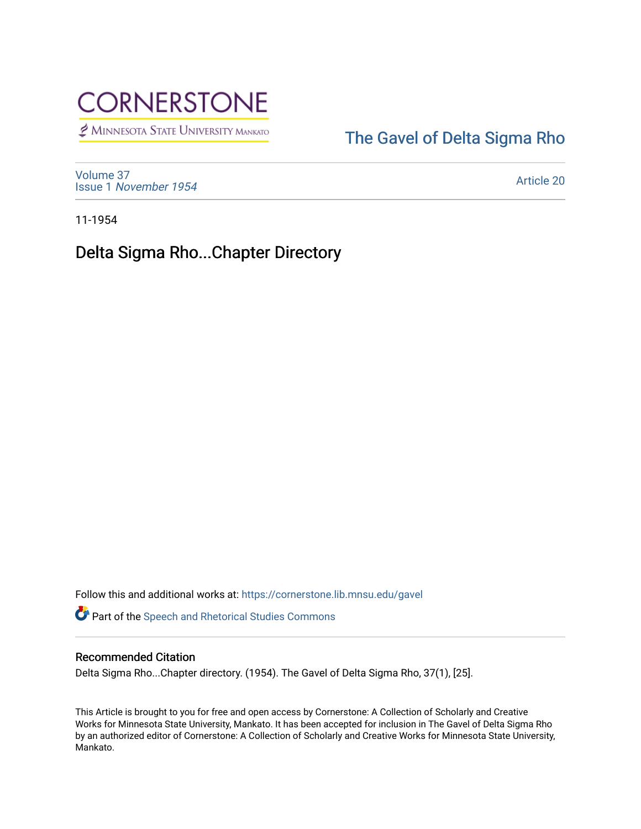

MINNESOTA STATE UNIVERSITY MANKATO

## [The Gavel of Delta Sigma Rho](https://cornerstone.lib.mnsu.edu/gavel)

[Volume 37](https://cornerstone.lib.mnsu.edu/gavel/vol37) Issue 1 [November 1954](https://cornerstone.lib.mnsu.edu/gavel/vol37/iss1) 

[Article 20](https://cornerstone.lib.mnsu.edu/gavel/vol37/iss1/20) 

11-1954

Delta Sigma Rho...Chapter Directory

Follow this and additional works at: [https://cornerstone.lib.mnsu.edu/gavel](https://cornerstone.lib.mnsu.edu/gavel?utm_source=cornerstone.lib.mnsu.edu%2Fgavel%2Fvol37%2Fiss1%2F20&utm_medium=PDF&utm_campaign=PDFCoverPages) 

Part of the [Speech and Rhetorical Studies Commons](http://network.bepress.com/hgg/discipline/338?utm_source=cornerstone.lib.mnsu.edu%2Fgavel%2Fvol37%2Fiss1%2F20&utm_medium=PDF&utm_campaign=PDFCoverPages) 

## Recommended Citation

Delta Sigma Rho...Chapter directory. (1954). The Gavel of Delta Sigma Rho, 37(1), [25].

This Article is brought to you for free and open access by Cornerstone: A Collection of Scholarly and Creative Works for Minnesota State University, Mankato. It has been accepted for inclusion in The Gavel of Delta Sigma Rho by an authorized editor of Cornerstone: A Collection of Scholarly and Creative Works for Minnesota State University, Mankato.